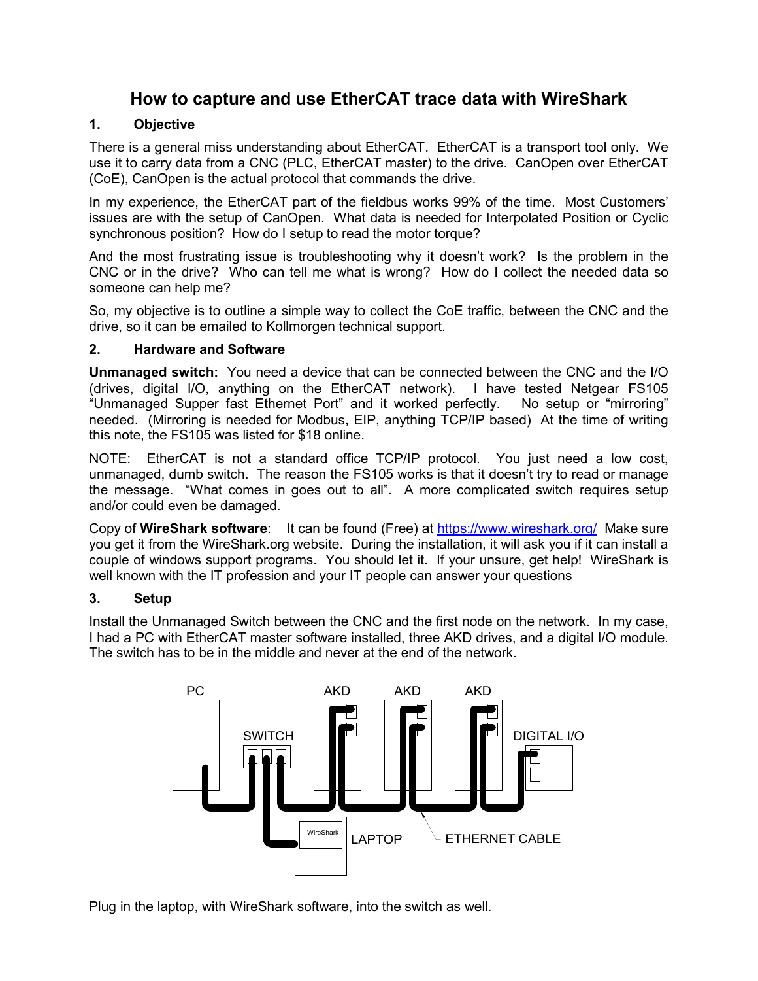# **How to capture and use EtherCAT trace data with WireShark**

### **1. Objective**

There is a general miss understanding about EtherCAT. EtherCAT is a transport tool only. We use it to carry data from a CNC (PLC, EtherCAT master) to the drive. CanOpen over EtherCAT (CoE), CanOpen is the actual protocol that commands the drive.

In my experience, the EtherCAT part of the fieldbus works 99% of the time. Most Customers' issues are with the setup of CanOpen. What data is needed for Interpolated Position or Cyclic synchronous position? How do I setup to read the motor torque?

And the most frustrating issue is troubleshooting why it doesn't work? Is the problem in the CNC or in the drive? Who can tell me what is wrong? How do I collect the needed data so someone can help me?

So, my objective is to outline a simple way to collect the CoE traffic, between the CNC and the drive, so it can be emailed to Kollmorgen technical support.

### **2. Hardware and Software**

**Unmanaged switch:** You need a device that can be connected between the CNC and the I/O (drives, digital I/O, anything on the EtherCAT network). I have tested Netgear FS105 "Unmanaged Supper fast Ethernet Port" and it worked perfectly. No setup or "mirroring" needed. (Mirroring is needed for Modbus, EIP, anything TCP/IP based) At the time of writing this note, the FS105 was listed for \$18 online.

NOTE: EtherCAT is not a standard office TCP/IP protocol. You just need a low cost, unmanaged, dumb switch. The reason the FS105 works is that it doesn't try to read or manage the message. "What comes in goes out to all". A more complicated switch requires setup and/or could even be damaged.

Copy of **WireShark software**: It can be found (Free) at https://www.wireshark.org/ Make sure you get it from the WireShark.org website. During the installation, it will ask you if it can install a couple of windows support programs. You should let it. If your unsure, get help! WireShark is well known with the IT profession and your IT people can answer your questions

### **3. Setup**

Install the Unmanaged Switch between the CNC and the first node on the network. In my case, I had a PC with EtherCAT master software installed, three AKD drives, and a digital I/O module. The switch has to be in the middle and never at the end of the network.



Plug in the laptop, with WireShark software, into the switch as well.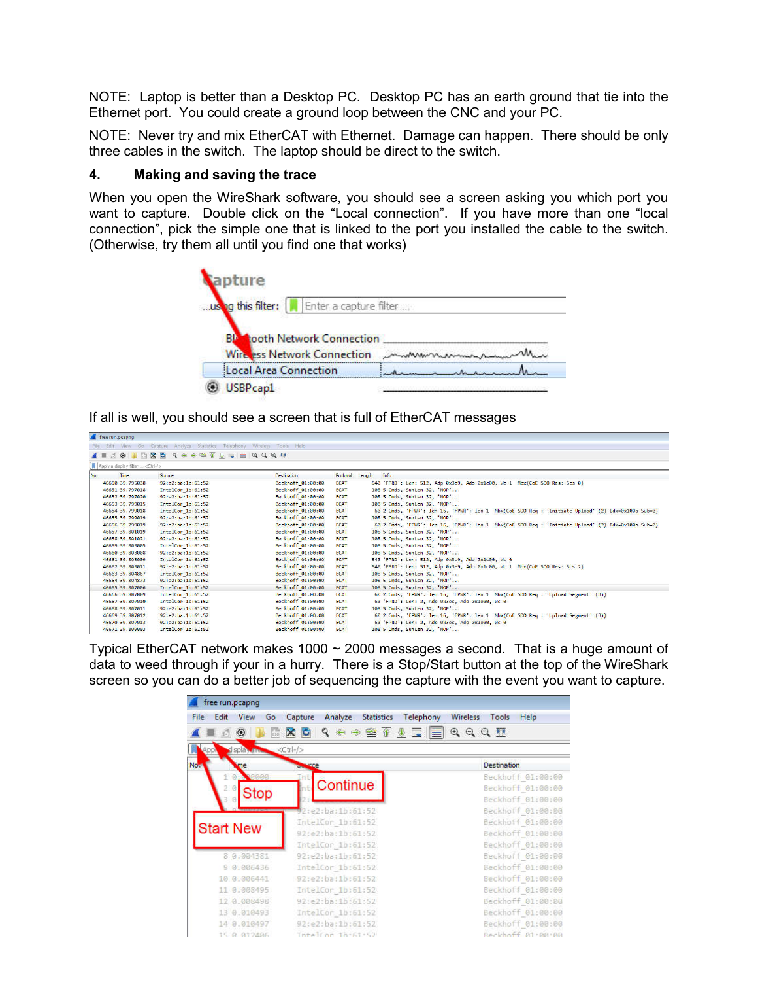NOTE: Laptop is better than a Desktop PC. Desktop PC has an earth ground that tie into the Ethernet port. You could create a ground loop between the CNC and your PC.

NOTE: Never try and mix EtherCAT with Ethernet. Damage can happen. There should be only three cables in the switch. The laptop should be direct to the switch.

#### **4. Making and saving the trace**

When you open the WireShark software, you should see a screen asking you which port you want to capture. Double click on the "Local connection". If you have more than one "local connection", pick the simple one that is linked to the port you installed the cable to the switch. (Otherwise, try them all until you find one that works)



If all is well, you should see a screen that is full of EtherCAT messages

| free run.pcapnq                        |                                                                            |                    |             |                                                                                                    |
|----------------------------------------|----------------------------------------------------------------------------|--------------------|-------------|----------------------------------------------------------------------------------------------------|
|                                        | File Edit View Go Capture Analyze Statistics Telephony Wireless Tools Help |                    |             |                                                                                                    |
| $\blacksquare$                         | ZO K X Q Q O O ST & E E Q Q Q H                                            |                    |             |                                                                                                    |
| Apply a display filter <ctrl-></ctrl-> |                                                                            |                    |             |                                                                                                    |
| No.<br>Time                            | Source                                                                     | <b>Destination</b> | Protocol    | Length<br>Info                                                                                     |
| 46650 39.795038                        | 92:e2:ba:1b:61:52                                                          | Beckhoff 01:00:00  | <b>ECAT</b> | 540 'FPRD': Len: 512, Adp 0x3e9, Ado 0x1c00, Wc 1 Mbx(CoE SDO Res: Scs 0)                          |
| 46651 39.797018                        | IntelCor 1b:61:52                                                          | Beckhoff 01:00:00  | <b>ECAT</b> | 108 5 Cmds, SumLen 32, 'NOP'                                                                       |
| 46652 39.797020                        | 92:e2:ba:1b:61:52                                                          | Beckhoff 01:00:00  | <b>ECAT</b> | 108 5 Cmds, SumLen 32, 'NOP'                                                                       |
| 46653 39.799015                        | IntelCor 1b:61:52                                                          | Beckhoff 01:00:00  | <b>ECAT</b> | 108 5 Cmds, SumLen 32, 'NOP'                                                                       |
| 46654 39.799018                        | IntelCor 1b:61:52                                                          | Beckhoff 01:00:00  | <b>ECAT</b> | 60 2 Cmds, 'FPWR': len 16, 'FPWR': len 1 Mbx(CoE SDO Req : 'Initiate Upload' (2) Idx=0x100a Sub=0) |
| 46655 39.799019                        | 92:e2:ba:1b:61:52                                                          | Beckhoff 01:00:00  | <b>ECAT</b> | 108 5 Cmds. SumLen 32. 'NOP'                                                                       |
| 46656 39.799019                        | 92:e2:ba:1b:61:52                                                          | Beckhoff 01:00:00  | <b>ECAT</b> | 60 2 Cmds, 'FPWR': len 16, 'FPWR': len 1 Mbx(CoE SDO Req : 'Initiate Upload' (2) Idx=0x100a Sub=0) |
| 46657 39.801019                        | IntelCor 1b:61:52                                                          | Beckhoff 01:00:00  | <b>ECAT</b> | 108 5 Cmds, SumLen 32, 'NOP'                                                                       |
| 46658 39.801021                        | 92:e2:ba:1b:61:52                                                          | Beckhoff 01:00:00  | <b>ECAT</b> | 108 5 Cmds, SumLen 32, 'NOP'                                                                       |
| 46659 39.803005                        | IntelCor 1b:61:52                                                          | Beckhoff 01:00:00  | <b>ECAT</b> | 108 5 Cmds, SumLen 32, 'NOP'                                                                       |
| 46660 39,803008                        | 92:e2:ba:1b:61:52                                                          | Beckhoff 01:00:00  | <b>ECAT</b> | 108 5 Cmds, SumLen 32, 'NOP'                                                                       |
| 46661 39.803009                        | IntelCor 1b:61:52                                                          | Beckhoff 01:00:00  | <b>ECAT</b> | 540 'FPRD': Len: 512, Adp 0x3e9, Ado 0x1c00, Wc 0                                                  |
| 46662 39.803011                        | 92:e2:ba:1b:61:52                                                          | Beckhoff 01:00:00  | <b>ECAT</b> | 540 'FPRD': Len: 512, Adp 0x3e9, Ado 0x1c00, Wc 1 Mbx(CoE SDO Res: Scs 2)                          |
| 46663 39.804867                        | IntelCor 1b:61:52                                                          | Beckhoff 01:00:00  | <b>ECAT</b> | 108 5 Cmds, SumLen 32, 'NOP'                                                                       |
| 46664 39.804873                        | 92:e2:ba:1b:61:52                                                          | Beckhoff 01:00:00  | <b>ECAT</b> | 108 5 Cmds, SumLen 32, 'NOP'                                                                       |
| 46665 39.807006                        | IntelCor 1b:61:52                                                          | Beckhoff 01:00:00  | <b>ECAT</b> | 108 5 Cmds, SumLen 32, 'NOP'                                                                       |
| 46666 39.807009                        | IntelCor 1b:61:52                                                          | Beckhoff 01:00:00  | <b>ECAT</b> | 60 2 Cmds, 'FPWR': len 16, 'FPWR': len 1 Mbx(CoE SDO Req : 'Upload Segment' (3))                   |
| 46667 39.807010                        | IntelCor 1b:61:52                                                          | Beckhoff 01:00:00  | <b>ECAT</b> | 60 'FPRD': Len: 2, Adp 0x3ec, Ado 0x1e00, Wc 0                                                     |
| 46668 39.807011                        | 92:e2:ba:1b:61:52                                                          | Beckhoff 01:00:00  | <b>ECAT</b> | 108 5 Cmds, SumLen 32, 'NOP'                                                                       |
| 46669 39.807012                        | 92:e2:ba:1b:61:52                                                          | Beckhoff 01:00:00  | <b>ECAT</b> | 60 2 Cmds, 'FPWR': len 16, 'FPWR': len 1 Mbx(CoE SDO Req : 'Upload Segment' (3))                   |
| 46670 39.807013                        | 92:e2:ba:1b:61:52                                                          | Beckhoff 01:00:00  | <b>ECAT</b> | 60 'FPRD': Len: 2, Adp 0x3ec, Ado 0x1e00, Wc 0                                                     |
| 46671 39.809003                        | IntelCor 1b:61:52                                                          | Beckhoff 01:00:00  | <b>ECAT</b> | 108 5 Cmds, SumLen 32, 'NOP'                                                                       |

Typical EtherCAT network makes  $1000 \sim 2000$  messages a second. That is a huge amount of data to weed through if your in a hurry. There is a Stop/Start button at the top of the WireShark screen so you can do a better job of sequencing the capture with the event you want to capture.

| free run.pcapng            |                                                                                                                                                                                                                                                                                                                                                |                           |
|----------------------------|------------------------------------------------------------------------------------------------------------------------------------------------------------------------------------------------------------------------------------------------------------------------------------------------------------------------------------------------|---------------------------|
| File<br>Edit<br>View<br>Go | Analyze<br>Telephony<br><b>Statistics</b><br>Capture                                                                                                                                                                                                                                                                                           | Wireless<br>Tools<br>Help |
| $rac{1}{010}$              | $\begin{array}{c} \mid \mathcal{Q} \text{ } \Leftrightarrow \text{ } \Leftrightarrow \text{ } \underline{\mathcal{Q}} \text{ } \underline{\mathcal{V}} \text{ } \underline{\mathcal{V}} \text{ } \equiv \text{ } \boxed{\equiv} \text{ } \mathcal{Q} \text{ } \text{ } \mathcal{Q} \text{ } \underline{\mathcal{R}} \end{array}$<br>$\times c$ |                           |
| Isplay and<br>Appl         | $<$ Ctrl-/ $>$                                                                                                                                                                                                                                                                                                                                 |                           |
| No.<br>me                  | -re                                                                                                                                                                                                                                                                                                                                            | Destination               |
| <b>NOGGOG</b>              | Int                                                                                                                                                                                                                                                                                                                                            | Beckhoff 01:00:00         |
|                            | Continue                                                                                                                                                                                                                                                                                                                                       | Beckhoff 01:00:00         |
| Stop                       |                                                                                                                                                                                                                                                                                                                                                | Beckhoff 01:00:00         |
|                            | 92: e2: ba: 1b: 61: 52                                                                                                                                                                                                                                                                                                                         | Beckhoff 01:00:00         |
|                            | IntelCor 1b:61:52                                                                                                                                                                                                                                                                                                                              | Beckhoff 01:00:00         |
| <b>Start New</b>           | 92:e2:ba:1b:61:52                                                                                                                                                                                                                                                                                                                              | Beckhoff 01:00:00         |
|                            | IntelCor 1b:61:52                                                                                                                                                                                                                                                                                                                              | Beckhoff 01:00:00         |
| 8 0.004381                 | 92:e2:ba:1b:61:52                                                                                                                                                                                                                                                                                                                              | Beckhoff 01:00:00         |
| 9 0.006436                 | IntelCor 1b:61:52                                                                                                                                                                                                                                                                                                                              | Beckhoff 01:00:00         |
| 10 0.006441                | 92:e2:ba:1b:61:52                                                                                                                                                                                                                                                                                                                              | Beckhoff 01:00:00         |
| 11 0.008495                | IntelCor 1b:61:52                                                                                                                                                                                                                                                                                                                              | Beckhoff 01:00:00         |
| 12 0.008498                | 92:e2:ba:1b:61:52                                                                                                                                                                                                                                                                                                                              | Beckhoff 01:00:00         |
| 13 0.010493                | IntelCor 1b:61:52                                                                                                                                                                                                                                                                                                                              | Beckhoff 01:00:00         |
| 14 0.010497                | 92:e2:ba:1b:61:52                                                                                                                                                                                                                                                                                                                              | Beckhoff 01:00:00         |
| 15 @ @12405                | ThtelCon 1h-61-57                                                                                                                                                                                                                                                                                                                              | Beckhoff 81-88-88         |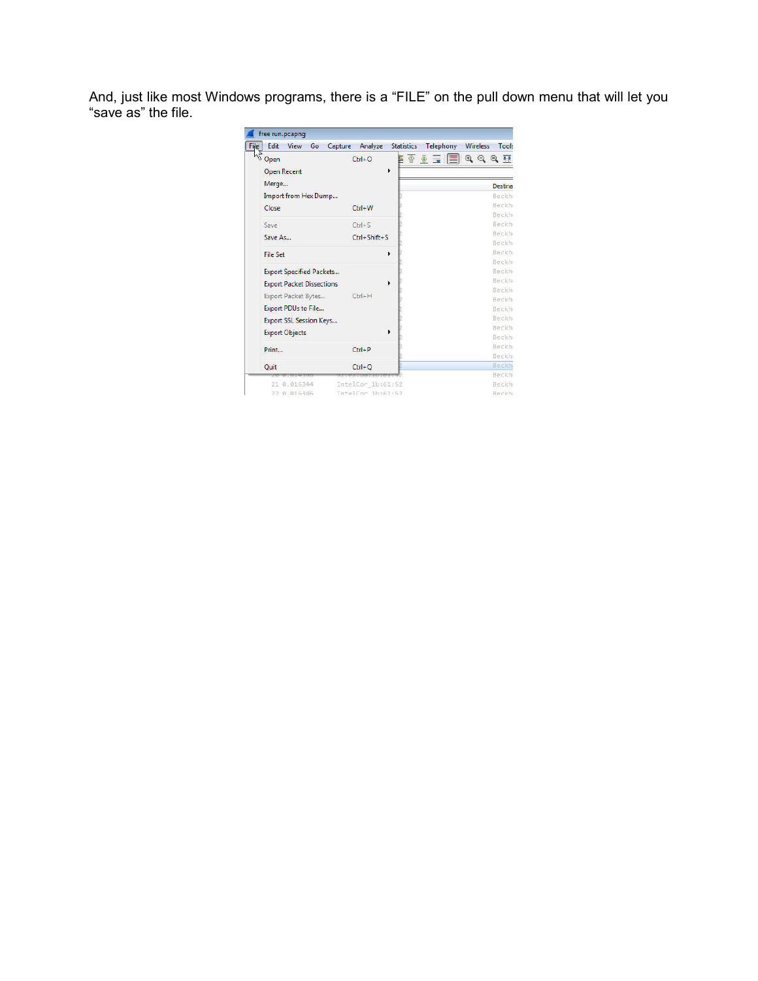And, just like most Windows programs, there is a "FILE" on the pull down menu that will let you "save as" the file.

| Edit               | View                       | Go<br>Capture                    | Analyze            | <b>Statistics</b> | Telephony | Wireless                    | Tools           |
|--------------------|----------------------------|----------------------------------|--------------------|-------------------|-----------|-----------------------------|-----------------|
| V Open             |                            |                                  | $Ctrl + O$         |                   | ET JE E   | $\mathbb{Q} \in \mathbb{Q}$ |                 |
| <b>Open Recent</b> |                            |                                  |                    | ٠                 |           |                             |                 |
| Merge              |                            |                                  |                    |                   |           |                             | Destina         |
|                    |                            | Import from Hex Dump             |                    |                   |           |                             | <b>Beckhi</b>   |
| Close              |                            |                                  | $Ctrl + W$         |                   |           |                             | Beckh           |
|                    |                            |                                  |                    |                   |           |                             | Beckhi          |
| Save               |                            |                                  | $Ctrl + S$         |                   |           |                             | Beckhi          |
| Save As            |                            |                                  | $Ctrl + Shift + S$ |                   |           |                             | Beckh           |
|                    |                            |                                  |                    |                   |           |                             | Beckh           |
| <b>File Set</b>    |                            |                                  |                    | ٠                 |           |                             | Beckh<br>Beckhi |
|                    |                            | <b>Export Specified Packets</b>  |                    |                   |           |                             | Beckhi          |
|                    |                            |                                  |                    |                   |           |                             | Beckhi          |
|                    |                            | <b>Export Packet Dissections</b> |                    |                   |           |                             | Beckh           |
|                    | Export Packet Bytes        |                                  | $Ctrl + H$         |                   |           |                             | Beckh           |
|                    | <b>Export PDUs to File</b> |                                  |                    |                   |           |                             | Beckh           |
|                    |                            | <b>Export SSL Session Keys</b>   |                    |                   |           |                             | Beckh           |
|                    | <b>Export Objects</b>      |                                  |                    | ٠                 |           |                             | Beckh           |
|                    |                            |                                  |                    |                   |           |                             | Beckhi          |
| Print              |                            |                                  | $Ctrl + P$         |                   |           |                             | Beckhi<br>Beckh |
|                    |                            |                                  |                    |                   |           |                             | Beckhi          |
| Quit               |                            |                                  | $Ctrl + O$         |                   |           |                             | Beckh           |
|                    | 21 0.016344                |                                  | IntelCor 1b:61:52  |                   |           |                             | Beckhi          |
|                    | 72 8.816346                |                                  | IntelCor 1h:61:52  |                   |           |                             | Beckhi          |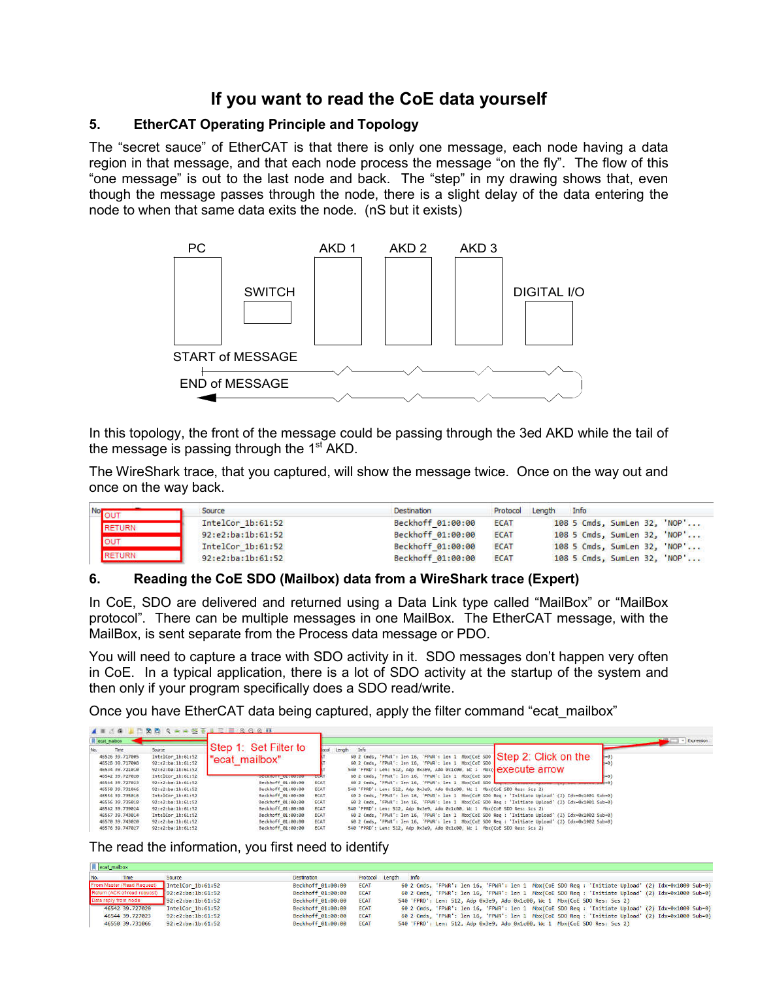## **If you want to read the CoE data yourself**

### **5. EtherCAT Operating Principle and Topology**

The "secret sauce" of EtherCAT is that there is only one message, each node having a data region in that message, and that each node process the message "on the fly". The flow of this "one message" is out to the last node and back. The "step" in my drawing shows that, even though the message passes through the node, there is a slight delay of the data entering the node to when that same data exits the node. (nS but it exists)



In this topology, the front of the message could be passing through the 3ed AKD while the tail of the message is passing through the  $1<sup>st</sup>$  AKD.

The WireShark trace, that you captured, will show the message twice. Once on the way out and once on the way back.

| <b>Nor</b>    | Source            | <b>Destination</b> |             |  | Info                         |  |  |  |  |  |  |
|---------------|-------------------|--------------------|-------------|--|------------------------------|--|--|--|--|--|--|
| <b>RETURN</b> | IntelCor 1b:61:52 | Beckhoff 01:00:00  | <b>ECAT</b> |  | 108 5 Cmds, SumLen 32, 'NOP' |  |  |  |  |  |  |
|               | 92:e2:ba:1b:61:52 | Beckhoff 01:00:00  | <b>ECAT</b> |  | 108 5 Cmds, SumLen 32, 'NOP' |  |  |  |  |  |  |
|               | IntelCor 1b:61:52 | Beckhoff 01:00:00  | <b>ECAT</b> |  | 108 5 Cmds, SumLen 32, 'NOP' |  |  |  |  |  |  |
| <b>RETURN</b> | 92:e2:ba:1b:61:52 | Beckhoff 01:00:00  | <b>ECAT</b> |  | 108 5 Cmds, SumLen 32, 'NOP' |  |  |  |  |  |  |

### **6. Reading the CoE SDO (Mailbox) data from a WireShark trace (Expert)**

In CoE, SDO are delivered and returned using a Data Link type called "MailBox" or "MailBox protocol". There can be multiple messages in one MailBox. The EtherCAT message, with the MailBox, is sent separate from the Process data message or PDO.

You will need to capture a trace with SDO activity in it. SDO messages don't happen very often in CoE. In a typical application, there is a lot of SDO activity at the startup of the system and then only if your program specifically does a SDO read/write.

Once you have EtherCAT data being captured, apply the filter command "ecat\_mailbox"

| Recat_malbox                                                         |                                                                       |                                                     |                     | - Expression                                                                                                                                                                                                                               |
|----------------------------------------------------------------------|-----------------------------------------------------------------------|-----------------------------------------------------|---------------------|--------------------------------------------------------------------------------------------------------------------------------------------------------------------------------------------------------------------------------------------|
| Time<br>No.<br>46526 39.717005<br>46528 39.717008<br>46534 39.721010 | Source<br>IntelCor 1b:61:52<br>92:e2:ba:1b:61:52<br>92:e2:ba:1b:61:52 | Step 1: Set Filter to<br>"ecat mailbox"             |                     | Length Info<br>60 2 Cmds, 'FPIR': len 16, 'FPIR': len 1 Mbx(CoE 500 Step 2: Click on the<br>$(+0)$<br>60 2 Cmds, 'FPNR': len 16, 'FPWR': len 1 Mbx/CoE 500<br>$-0$<br>548 'FPRD': Len: 512, Adp 8x3e9, Ado 8x1c00, Nc 1 Mbx( execute arrow |
| 46542 39.727020<br>46544 39.727023                                   | IntelCor 1b:61:52<br>92:e2:be:1b:61:52                                | <b>INDEPENDENT OF REPORTER</b><br>Beckhoff 01:00:00 | <b>ECAT</b>         | 60 2 Cmds, 'FPNR': len 16, 'FPWR': len 1 Mbx(CoE SDO  <br>60 2 Cmds, "FPWR": len 16, "FPWR": len 1 Mbx/CoE SDD her commencement and                                                                                                        |
| 46550 39.731066                                                      | 92:e2:ba:1b:61:52                                                     | Beckhoff 01:00:00                                   | ECAT                | 540 'FPRD': Len: 512, Ado 0x3e9, Ado 0x1c00, Wc 1 Mbx/CoE SDO Res: Scs 2)                                                                                                                                                                  |
| 46554 39.735016<br>46556 39.735018                                   | IntelCor 1b:61:52<br>92:e2:ba:1b:61:52                                | Beckhoff 01:00:00<br>Beckhoff 01:00:00              | ECAT<br>ECAT        | 60 2 Cmds, 'FPWR': len 16, 'FPWR': len 1 Mbx(CoE SDO Reg : 'Initiate Upload' (2) Idx-0x1801 Sub-0)<br>60 2 Cmds, 'FPWR': len 16, 'FPWR': len 1 Mbx(CoE SDO Reg : 'Initiate Upload' (2) Idx=0x1801 Sub=0)                                   |
| 46562 39.739824                                                      | 92:e2:ba:1b:61:52                                                     | Beckhoff 01:00:00                                   | ECAT                | 540 "FPRD': Len: 512, Ado 0x3e9, Ado 0x1c00, Wc 1 Mbx/CoE SDD Res: Scs 2)                                                                                                                                                                  |
| 46567 39.743814<br>46570 39.743020                                   | IntelCor 1b:61:52<br>92:e2:ba:1b:61:52                                | Beckhoff 01:00:00<br>Beckhoff 01:00:00              | ECAT<br><b>ECAT</b> | 60 2 Cmds, 'FPWR': len 16, 'FPWR': len 1 Mbx(CoE SDO Reg : 'Initiate Upload' (2) Idx=0x1002 Sub=0)<br>60 2 Cmds, 'FPWR': len 16, 'FPWR': len 1 Mbx(CoE SDO Reg : 'Initiate Upload' (2) Idx=0x1002 Sub=0)                                   |
| 46576 39, 747027                                                     | 92:e2:ba:1b:61:52                                                     | Beckhoff 01:00:00                                   | ECAT                | 540 'FPRD': Len: 512, Adp 0x3e9, Ado 0x1c00, Wc 1 Mbx(CoE SDO Res: Scs 2)                                                                                                                                                                  |

The read the information, you first need to identify

| No.<br>Time                  | Source                 | Destination       |             | Protocol Length Info |                                                                           |  |  |                                                                                                    |
|------------------------------|------------------------|-------------------|-------------|----------------------|---------------------------------------------------------------------------|--|--|----------------------------------------------------------------------------------------------------|
| From Master (Read Request)   | IntelCor $1b:61:52$    | Beckhoff 01:00:00 | <b>ECAT</b> |                      |                                                                           |  |  | 60 2 Cmds, 'FPWR': len 16, 'FPWR': len 1 Mbx(CoE SDO Req : 'Initiate Upload' (2) Idx=0x1000 Sub=0) |
| Return (ACK of read request) | 92: e2: ba: 1b: 61: 52 | Beckhoff 01:00:00 | <b>ECAT</b> |                      |                                                                           |  |  | 60 2 Cmds, 'FPWR': len 16, 'FPWR': len 1 Mbx(CoE SDO Req : 'Initiate Upload' (2) Idx=0x1000 Sub=0) |
| Data reply from node         | 92:e2:ba:1b:61:52      | Beckhoff 01:00:00 | <b>ECAT</b> |                      | 540 'FPRD': Len: 512, Adp 0x3e9, Ado 0x1c00, Wc 1 Mbx(CoE SDO Res: Scs 2) |  |  |                                                                                                    |
| 46542 39.727020              | IntelCor 1b:61:52      | Beckhoff 01:00:00 | <b>ECAT</b> |                      |                                                                           |  |  | 60 2 Cmds, 'FPWR': len 16, 'FPWR': len 1 Mbx(CoE SDO Req : 'Initiate Upload' (2) Idx=0x1000 Sub=0) |
| 46544 39.727023              | 92:e2:ba:1b:61:52      | Beckhoff 01:00:00 | <b>ECAT</b> |                      |                                                                           |  |  | 60 2 Cmds, 'FPWR': len 16, 'FPWR': len 1 Mbx(CoE SDO Req : 'Initiate Upload' (2) Idx=0x1000 Sub=0) |
| 46550 39.731066              | 92:e2:ba:1b:61:52      | Beckhoff 01:00:00 | <b>ECAT</b> |                      | 540 'FPRD': Len: 512, Adp 0x3e9, Ado 0x1c00, Wc 1 Mbx(CoE SDO Res: Scs 2) |  |  |                                                                                                    |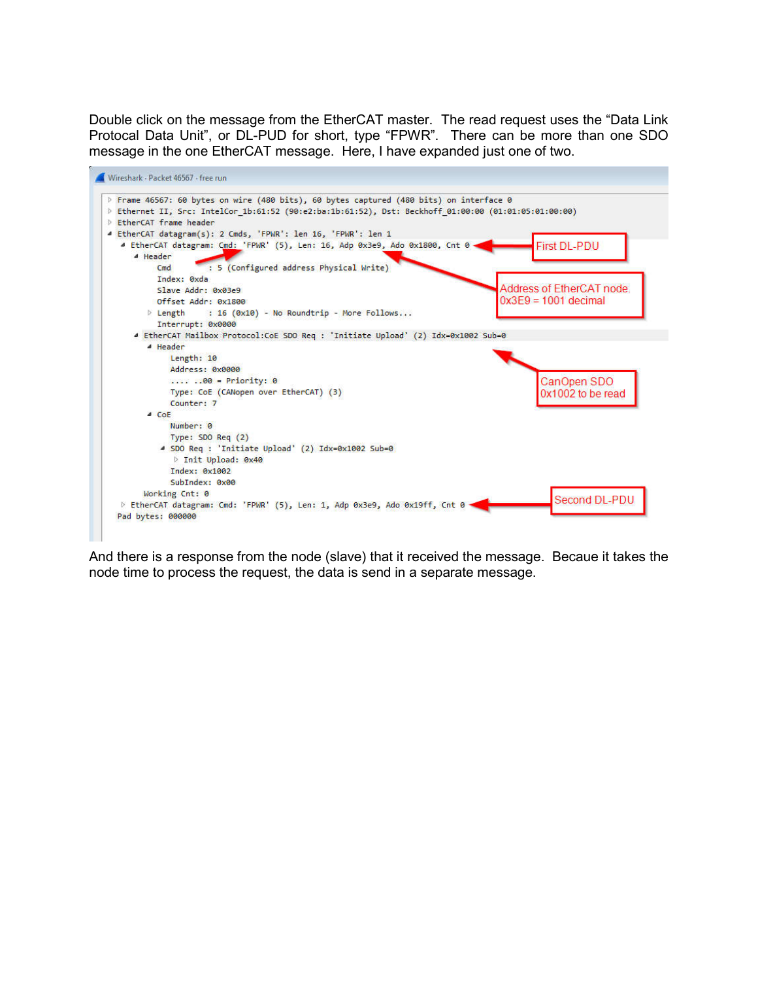Double click on the message from the EtherCAT master. The read request uses the "Data Link Protocal Data Unit", or DL-PUD for short, type "FPWR". There can be more than one SDO message in the one EtherCAT message. Here, I have expanded just one of two.



And there is a response from the node (slave) that it received the message. Becaue it takes the node time to process the request, the data is send in a separate message.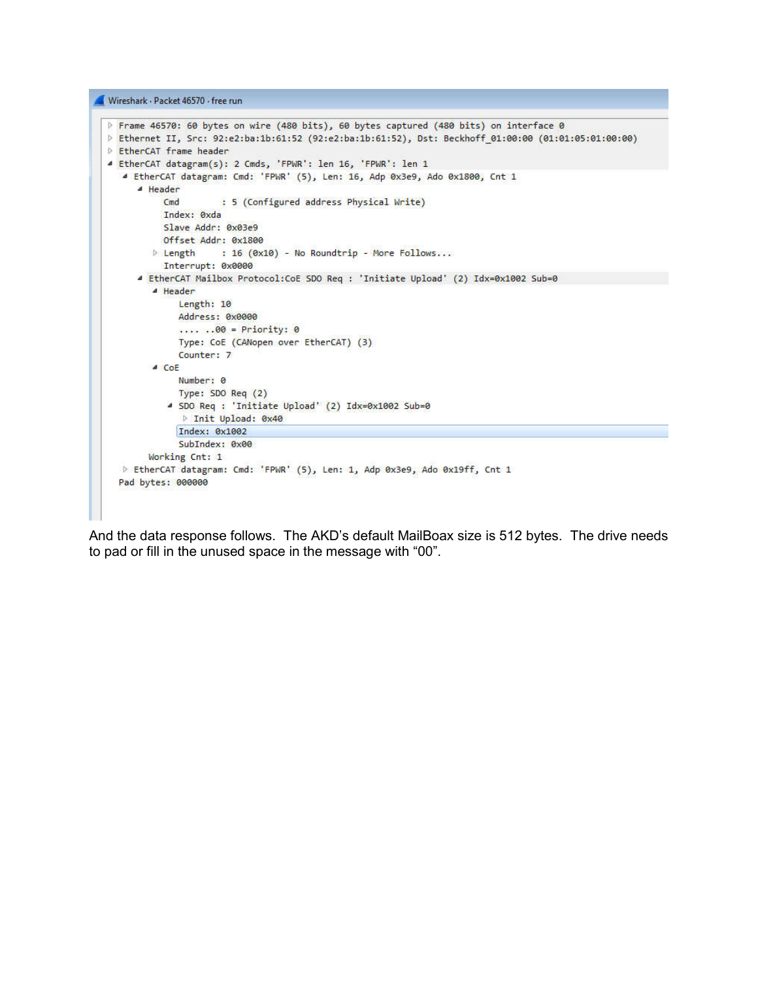Wireshark · Packet 46570 · free run



And the data response follows. The AKD's default MailBoax size is 512 bytes. The drive needs to pad or fill in the unused space in the message with "00".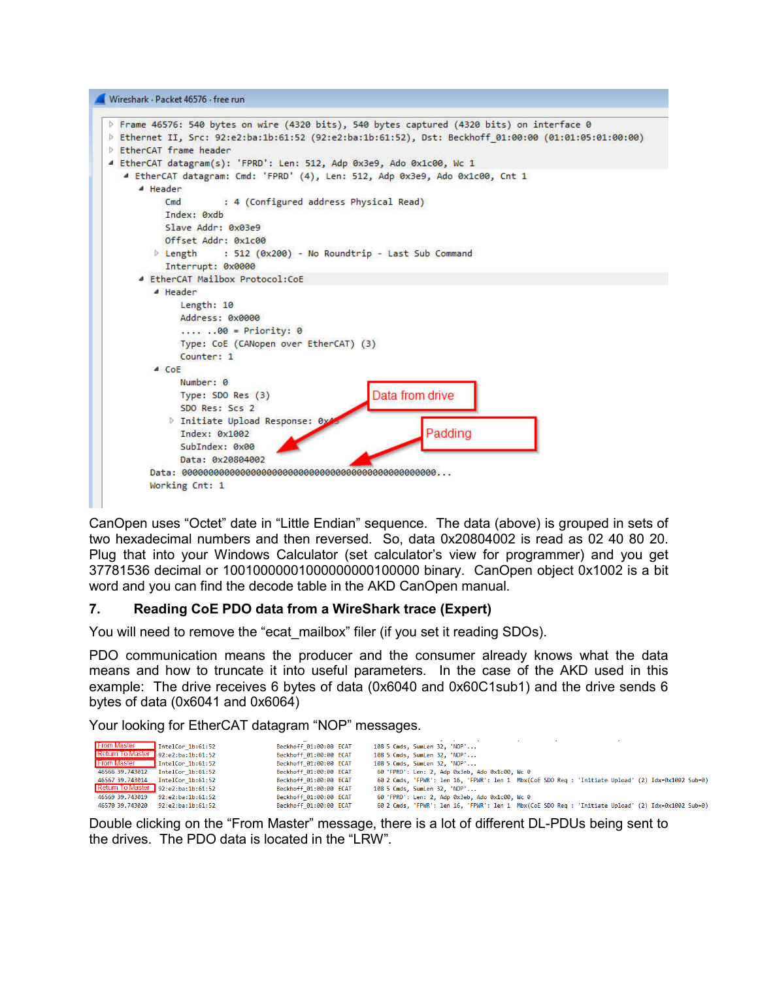Wireshark · Packet 46576 · free run



CanOpen uses "Octet" date in "Little Endian" sequence. The data (above) is grouped in sets of two hexadecimal numbers and then reversed. So, data 0x20804002 is read as 02 40 80 20. Plug that into your Windows Calculator (set calculator's view for programmer) and you get 37781536 decimal or 10010000001000000000100000 binary. CanOpen object 0x1002 is a bit word and you can find the decode table in the AKD CanOpen manual.

### **7. Reading CoE PDO data from a WireShark trace (Expert)**

You will need to remove the "ecat\_mailbox" filer (if you set it reading SDOs).

PDO communication means the producer and the consumer already knows what the data means and how to truncate it into useful parameters. In the case of the AKD used in this example: The drive receives 6 bytes of data (0x6040 and 0x60C1sub1) and the drive sends 6 bytes of data (0x6041 and 0x6064)

Your looking for EtherCAT datagram "NOP" messages.

| <b>From Master</b> | IntelCor $1b:61:52$                        | Beckhoff 01:00:00 ECAT |  | 108 5 Cmds, SumLen 32, 'NOP'                   |  |  |                                                                                                    |  |
|--------------------|--------------------------------------------|------------------------|--|------------------------------------------------|--|--|----------------------------------------------------------------------------------------------------|--|
|                    | Return To Master $\sqrt{92:2:ba:1b:61:52}$ | Beckhoff 01:00:00 ECAT |  | 108 5 Cmds, SumLen 32, 'NOP'                   |  |  |                                                                                                    |  |
| <b>From Master</b> | InternetCor 1b:61:52                       | Beckhoff 01:00:00 ECAT |  | 108 5 Cmds, SumLen 32, 'NOP'                   |  |  |                                                                                                    |  |
| 46566 39.743012    | IntelCor 1b:61:52                          | Beckhoff 01:00:00 ECAT |  | 60 'FPRD': Len: 2, Adp 0x3eb, Ado 0x1c00, Wc 0 |  |  |                                                                                                    |  |
| 46567 39.743014    | IntelCor 1b:61:52                          | Beckhoff 01:00:00 ECAT |  |                                                |  |  | 60 2 Cmds, 'FPWR': len 16, 'FPWR': len 1 Mbx(CoE SDO Req : 'Initiate Upload' (2) Idx=0x1002 Sub=0) |  |
|                    | Return To Master $\sqrt{92:2:ba:1b:61:52}$ | Beckhoff 01:00:00 ECAT |  | 108 5 Cmds, SumLen 32, 'NOP'                   |  |  |                                                                                                    |  |
| 46569 39,743019    | 92: e2: ba: 1b: 61: 52                     | Beckhoff 01:00:00 ECAT |  | 60 'FPRD': Len: 2, Adp 0x3eb, Ado 0x1c00, Wc 0 |  |  |                                                                                                    |  |
| 46570 39.743020    | 92: e2: ba: 1b: 61: 52                     | Beckhoff 01:00:00 ECAT |  |                                                |  |  | 60 2 Cmds, 'FPWR': len 16, 'FPWR': len 1 Mbx(CoE SDO Req : 'Initiate Upload' (2) Idx=0x1002 Sub=0) |  |

Double clicking on the "From Master" message, there is a lot of different DL-PDUs being sent to the drives. The PDO data is located in the "LRW".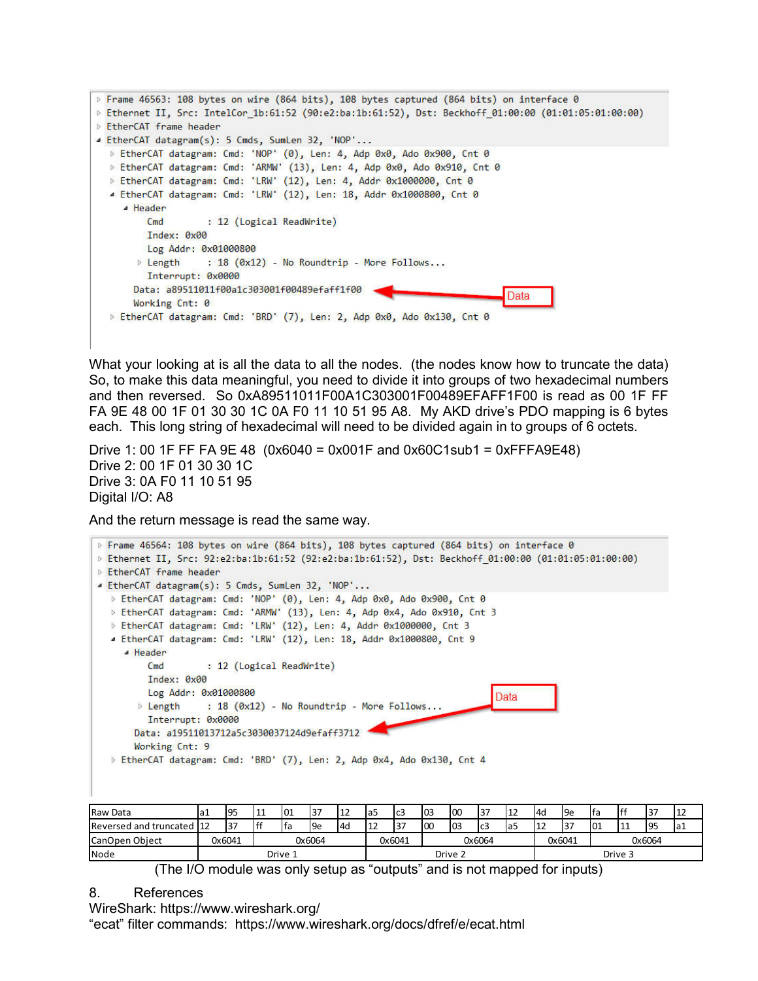```
Frame 46563: 108 bytes on wire (864 bits), 108 bytes captured (864 bits) on interface 0
P Ethernet II, Src: IntelCor 1b:61:52 (90:e2:ba:1b:61:52), Dst: Beckhoff 01:00:00 (01:01:05:01:00:00)
EtherCAT frame header
4 EtherCAT datagram(s): 5 Cmds, SumLen 32, 'NOP'...
  b EtherCAT datagram: Cmd: 'NOP' (0), Len: 4, Adp 0x0, Ado 0x900, Cnt 0
  D EtherCAT datagram: Cmd: 'ARMW' (13), Len: 4, Adp 0x0, Ado 0x910, Cnt 0
  > EtherCAT datagram: Cmd: 'LRW' (12), Len: 4, Addr 0x1000000, Cnt 0
  ▲ EtherCAT datagram: Cmd: 'LRW' (12), Len: 18, Addr 0x1000800, Cnt 0
    4 Header
                   : 12 (Logical ReadWrite)
        CmdIndex: 0x00
        Log Addr: 0x01000800
       Length
                 : 18 (0x12) - No Roundtrip - More Follows...
        Interrupt: 0x0000
      Data: a89511011f00a1c303001f00489efaff1f00
                                                                           Data
      Working Cnt: 0
  b EtherCAT datagram: Cmd: 'BRD' (7), Len: 2, Adp 0x0, Ado 0x130, Cnt 0
```
What your looking at is all the data to all the nodes. (the nodes know how to truncate the data) So, to make this data meaningful, you need to divide it into groups of two hexadecimal numbers and then reversed. So 0xA89511011F00A1C303001F00489EFAFF1F00 is read as 00 1F FF FA 9E 48 00 1F 01 30 30 1C 0A F0 11 10 51 95 A8. My AKD drive's PDO mapping is 6 bytes each. This long string of hexadecimal will need to be divided again in to groups of 6 octets.

Drive 1: 00 1F FF FA 9E 48  $(0x6040 = 0x001F$  and  $0x60C1sub1 = 0xFFFABE48)$ Drive 2: 00 1F 01 30 30 1C Drive 3: 0A F0 11 10 51 95 Digital I/O: A8

And the return message is read the same way.

| P Frame 46564: 108 bytes on wire (864 bits), 108 bytes captured (864 bits) on interface 0             |
|-------------------------------------------------------------------------------------------------------|
| D Ethernet II, Src: 92:e2:ba:1b:61:52 (92:e2:ba:1b:61:52), Dst: Beckhoff 01:00:00 (01:01:05:01:00:00) |
| <b>EtherCAT frame header</b>                                                                          |
| 4 EtherCAT datagram(s): 5 Cmds, SumLen 32, 'NOP'                                                      |
| ▷ EtherCAT datagram: Cmd: 'NOP' (0), Len: 4, Adp 0x0, Ado 0x900, Cnt 0                                |
| ▷ EtherCAT datagram: Cmd: 'ARMW' (13), Len: 4, Adp 0x4, Ado 0x910, Cnt 3                              |
| > EtherCAT datagram: Cmd: 'LRW' (12), Len: 4, Addr 0x1000000, Cnt 3                                   |
| 4 EtherCAT datagram: Cmd: 'LRW' (12), Len: 18, Addr 0x1000800, Cnt 9                                  |
| ▲ Header                                                                                              |
| : 12 (Logical ReadWrite)<br>Cmd                                                                       |
| Index: 0x00                                                                                           |
| Log Addr: 0x01000800<br>Data                                                                          |
| $\triangleright$ Length : 18 (0x12) - No Roundtrip - More Follows                                     |
| Interrupt: 0x0000                                                                                     |
| Data: a19511013712a5c3030037124d9efaff3712                                                            |
| Working Cnt: 9                                                                                        |
| > EtherCAT datagram: Cmd: 'BRD' (7), Len: 2, Adp 0x4, Ado 0x130, Cnt 4                                |
|                                                                                                       |
|                                                                                                       |
|                                                                                                       |

| Raw Data               | ⊣a⊾ | 95               | 111 | 101 | 37  |                 | la5              | Ic <sub>3</sub> | I <sub>03</sub> | 100 | 137 | 12<br>ᅭ | I <sub>4d</sub>  | l9e | Ifa     | F | 37  | 12  |  |
|------------------------|-----|------------------|-----|-----|-----|-----------------|------------------|-----------------|-----------------|-----|-----|---------|------------------|-----|---------|---|-----|-----|--|
| Reversed and truncated | 112 | 37               | ١ff | lta | l9e | 14 <sub>0</sub> | ΨL               | 37              | 100             | 103 | lc3 | la5     |                  | 37  | 01      |   | 195 | la1 |  |
| CanOpen Object         |     | 0x6041<br>0x6064 |     |     |     |                 | 0x6041<br>0x6064 |                 |                 |     |     |         | 0x6064<br>0x6041 |     |         |   |     |     |  |
| Node                   |     | Drive 1          |     |     |     |                 |                  |                 | Drive 2         |     |     |         |                  |     | Drive 3 |   |     |     |  |

(The I/O module was only setup as "outputs" and is not mapped for inputs)

### 8. References

WireShark: https://www.wireshark.org/

"ecat" filter commands: https://www.wireshark.org/docs/dfref/e/ecat.html